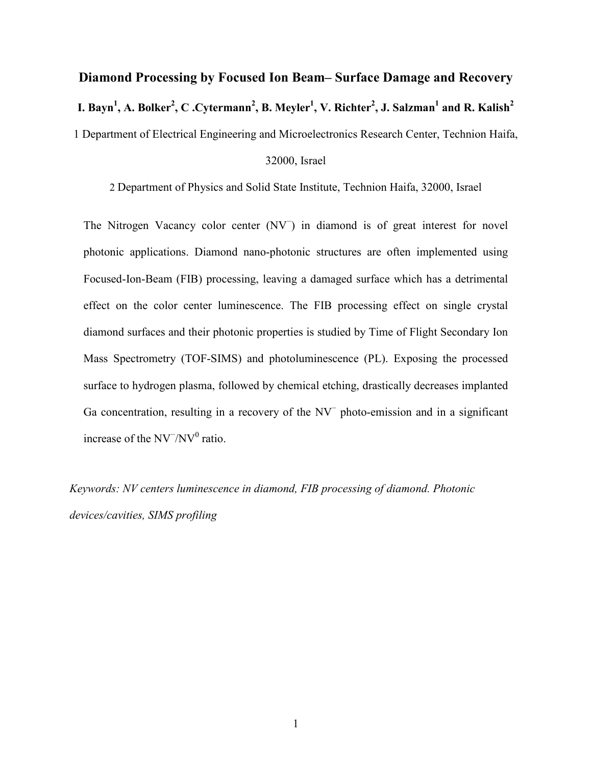## **Diamond Processing by Focused Ion Beam– Surface Damage and Recovery I. Bayn<sup>1</sup> , A. Bolker<sup>2</sup> , C .Cytermann<sup>2</sup> , B. Meyler<sup>1</sup> , V. Richter<sup>2</sup> , J. Salzman<sup>1</sup> and R. Kalish<sup>2</sup>** 1 Department of Electrical Engineering and Microelectronics Research Center, Technion Haifa,

## 32000, Israel

2 Department of Physics and Solid State Institute, Technion Haifa, 32000, Israel

The Nitrogen Vacancy color center (NV<sup>−</sup> ) in diamond is of great interest for novel photonic applications. Diamond nano-photonic structures are often implemented using Focused-Ion-Beam (FIB) processing, leaving a damaged surface which has a detrimental effect on the color center luminescence. The FIB processing effect on single crystal diamond surfaces and their photonic properties is studied by Time of Flight Secondary Ion Mass Spectrometry (TOF-SIMS) and photoluminescence (PL). Exposing the processed surface to hydrogen plasma, followed by chemical etching, drastically decreases implanted Ga concentration, resulting in a recovery of the NV<sup>−</sup> photo-emission and in a significant increase of the  $\text{NV}^-/\text{NV}^0$  ratio.

*Keywords: NV centers luminescence in diamond, FIB processing of diamond. Photonic devices/cavities, SIMS profiling*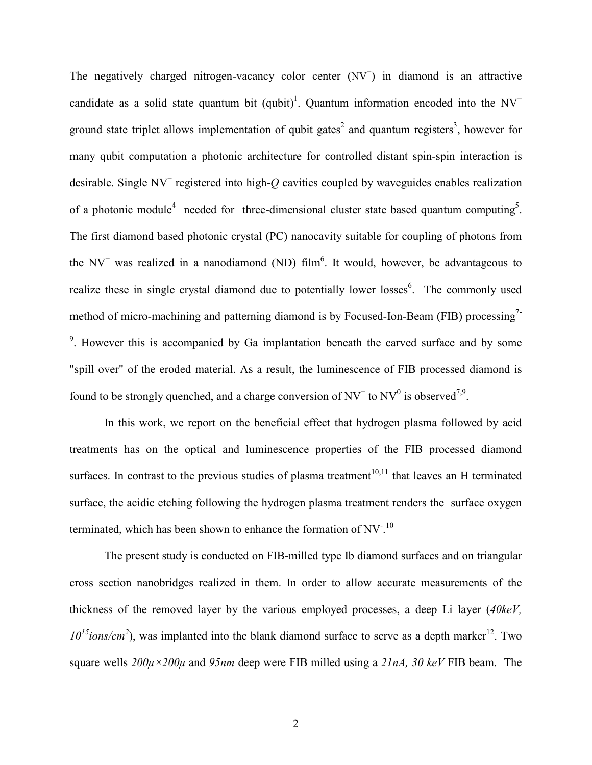The negatively charged nitrogen-vacancy color center (NV<sup>−</sup> ) in diamond is an attractive candidate as a solid state quantum bit  $(qubit)^1$ . Quantum information encoded into the NV<sup>-</sup> ground state triplet allows implementation of qubit gates<sup>2</sup> and quantum registers<sup>3</sup>, however for many qubit computation a photonic architecture for controlled distant spin-spin interaction is desirable. Single NV<sup>−</sup> registered into high-*Q* cavities coupled by waveguides enables realization of a photonic module<sup>4</sup> needed for three-dimensional cluster state based quantum computing<sup>5</sup>. The first diamond based photonic crystal (PC) nanocavity suitable for coupling of photons from the NV<sup>−</sup> was realized in a nanodiamond (ND) film<sup>6</sup>. It would, however, be advantageous to realize these in single crystal diamond due to potentially lower losses<sup>6</sup>. The commonly used method of micro-machining and patterning diamond is by Focused-Ion-Beam (FIB) processing<sup>7-</sup>  $9$ . However this is accompanied by Ga implantation beneath the carved surface and by some "spill over" of the eroded material. As a result, the luminescence of FIB processed diamond is found to be strongly quenched, and a charge conversion of  $NV<sup>-</sup>$  to  $NV<sup>0</sup>$  is observed<sup>7,9</sup>.

In this work, we report on the beneficial effect that hydrogen plasma followed by acid treatments has on the optical and luminescence properties of the FIB processed diamond surfaces. In contrast to the previous studies of plasma treatment<sup>10,11</sup> that leaves an H terminated surface, the acidic etching following the hydrogen plasma treatment renders the surface oxygen terminated, which has been shown to enhance the formation of NV<sup>-10</sup>

The present study is conducted on FIB-milled type Ib diamond surfaces and on triangular cross section nanobridges realized in them. In order to allow accurate measurements of the thickness of the removed layer by the various employed processes, a deep Li layer (*40keV,*   $10^{15}$ *ions/cm<sup>2</sup>*), was implanted into the blank diamond surface to serve as a depth marker<sup>12</sup>. Two square wells *200µ×200µ* and *95nm* deep were FIB milled using a *21nA, 30 keV* FIB beam. The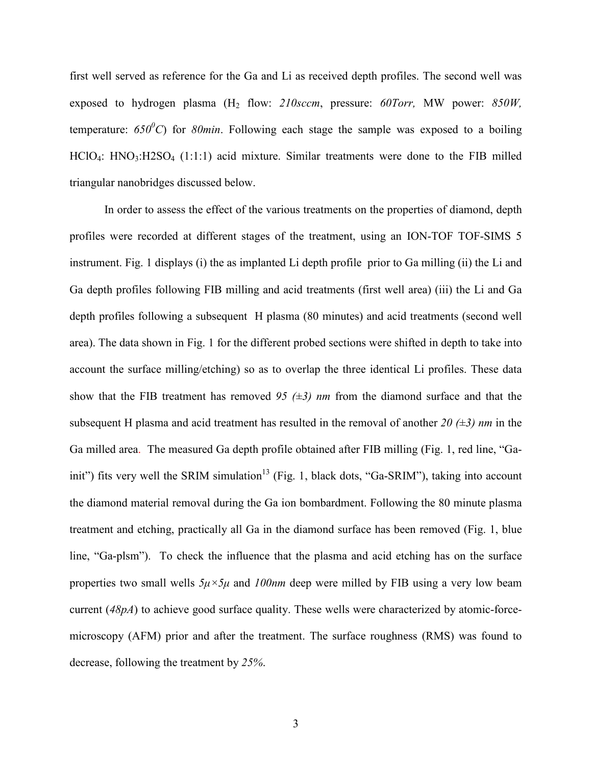first well served as reference for the Ga and Li as received depth profiles. The second well was exposed to hydrogen plasma (H<sub>2</sub> flow: 210sccm, pressure: 60Torr, MW power: 850W, temperature:  $650^{\circ}$ C) for 80min. Following each stage the sample was exposed to a boiling  $HClO<sub>4</sub>: HNO<sub>3</sub>: H2SO<sub>4</sub> (1:1:1)$  acid mixture. Similar treatments were done to the FIB milled triangular nanobridges discussed below.

In order to assess the effect of the various treatments on the properties of diamond, depth profiles were recorded at different stages of the treatment, using an ION-TOF TOF-SIMS 5 instrument. Fig. 1 displays (i) the as implanted Li depth profile prior to Ga milling (ii) the Li and Ga depth profiles following FIB milling and acid treatments (first well area) (iii) the Li and Ga depth profiles following a subsequent H plasma (80 minutes) and acid treatments (second well area). The data shown in Fig. 1 for the different probed sections were shifted in depth to take into account the surface milling/etching) so as to overlap the three identical Li profiles. These data show that the FIB treatment has removed *95 (±3) nm* from the diamond surface and that the subsequent H plasma and acid treatment has resulted in the removal of another *20 (±3) nm* in the Ga milled area. The measured Ga depth profile obtained after FIB milling (Fig. 1, red line, "Gainit") fits very well the SRIM simulation<sup>13</sup> (Fig. 1, black dots, "Ga-SRIM"), taking into account the diamond material removal during the Ga ion bombardment. Following the 80 minute plasma treatment and etching, practically all Ga in the diamond surface has been removed (Fig. 1, blue line, "Ga-plsm"). To check the influence that the plasma and acid etching has on the surface properties two small wells *5µ×5µ* and *100nm* deep were milled by FIB using a very low beam current (*48pA*) to achieve good surface quality. These wells were characterized by atomic-forcemicroscopy (AFM) prior and after the treatment. The surface roughness (RMS) was found to decrease, following the treatment by *25%*.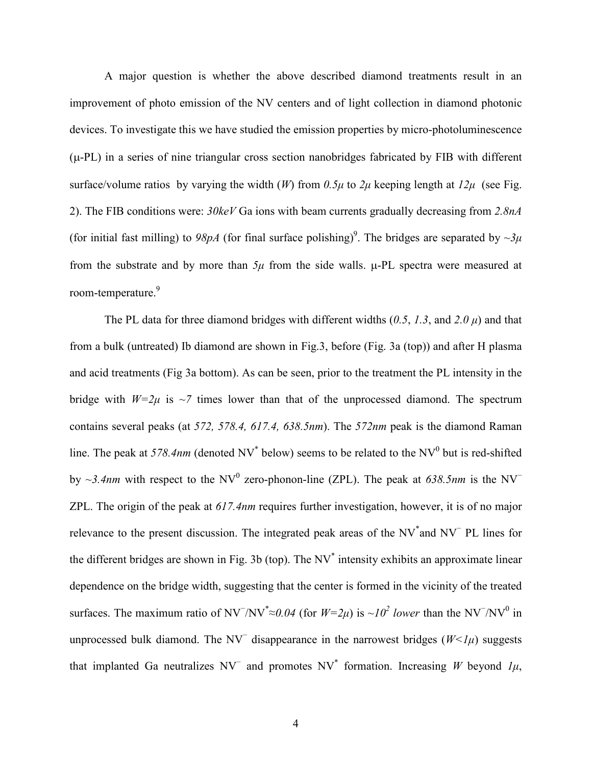A major question is whether the above described diamond treatments result in an improvement of photo emission of the NV centers and of light collection in diamond photonic devices. To investigate this we have studied the emission properties by micro-photoluminescence (µ-PL) in a series of nine triangular cross section nanobridges fabricated by FIB with different surface/volume ratios by varying the width (*W*) from  $0.5\mu$  to  $2\mu$  keeping length at  $12\mu$  (see Fig. 2). The FIB conditions were: *30keV* Ga ions with beam currents gradually decreasing from *2.8nA* (for initial fast milling) to  $98pA$  (for final surface polishing)<sup>9</sup>. The bridges are separated by  $\sim 3\mu$ from the substrate and by more than  $5\mu$  from the side walls.  $\mu$ -PL spectra were measured at room-temperature.<sup>9</sup>

The PL data for three diamond bridges with different widths (*0.5*, *1.3*, and *2.0 µ*) and that from a bulk (untreated) Ib diamond are shown in Fig.3, before (Fig. 3a (top)) and after H plasma and acid treatments (Fig 3a bottom). As can be seen, prior to the treatment the PL intensity in the bridge with  $W=2\mu$  is  $\sim$ 7 times lower than that of the unprocessed diamond. The spectrum contains several peaks (at *572, 578.4, 617.4, 638.5nm*). The *572nm* peak is the diamond Raman line. The peak at 578.4nm (denoted  $NV^*$  below) seems to be related to the  $NV^0$  but is red-shifted by ~3.4nm with respect to the NV<sup>0</sup> zero-phonon-line (ZPL). The peak at 638.5nm is the NV<sup>−</sup> ZPL. The origin of the peak at *617.4nm* requires further investigation, however, it is of no major relevance to the present discussion. The integrated peak areas of the NV<sup>\*</sup>and NV<sup>−</sup> PL lines for the different bridges are shown in Fig. 3b (top). The  $NV^*$  intensity exhibits an approximate linear dependence on the bridge width, suggesting that the center is formed in the vicinity of the treated surfaces. The maximum ratio of NV<sup>−</sup>/NV<sup>\*</sup>≈0.04 (for  $W=2\mu$ ) is ~10<sup>2</sup> lower than the NV<sup>−</sup>/NV<sup>0</sup> in unprocessed bulk diamond. The NV<sup>−</sup> disappearance in the narrowest bridges (*W<1µ*) suggests that implanted Ga neutralizes NV<sup> $-$ </sup> and promotes NV<sup>\*</sup> formation. Increasing *W* beyond *1µ*,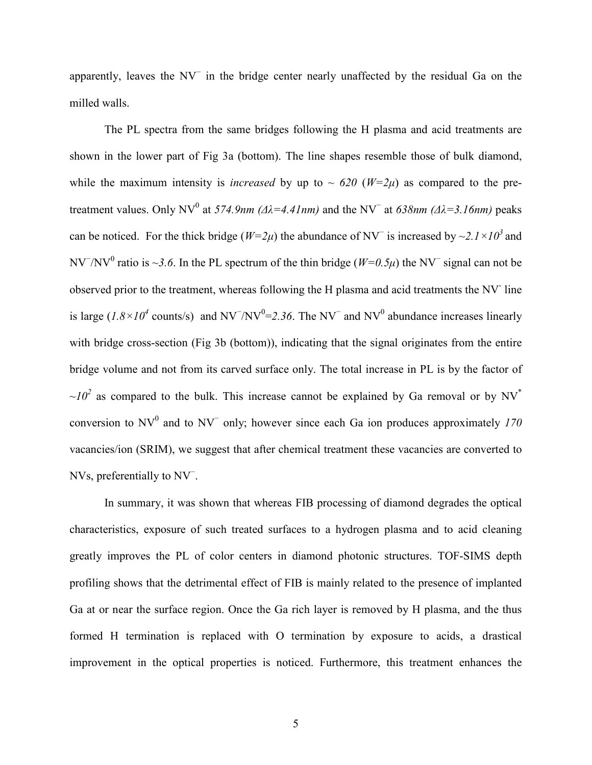apparently, leaves the NV<sup>−</sup> in the bridge center nearly unaffected by the residual Ga on the milled walls.

The PL spectra from the same bridges following the H plasma and acid treatments are shown in the lower part of Fig 3a (bottom). The line shapes resemble those of bulk diamond, while the maximum intensity is *increased* by up to  $\sim$  620 ( $W=2\mu$ ) as compared to the pretreatment values. Only NV<sup>0</sup> at *574.9nm (Δλ*=4.41nm) and the NV<sup>−</sup> at 638nm (Δλ=3.16nm) peaks can be noticed. For the thick bridge ( $W=2\mu$ ) the abundance of NV<sup>-</sup> is increased by ~2.1×10<sup>3</sup> and NV<sup>−</sup>/NV<sup>0</sup> ratio is ~3.6. In the PL spectrum of the thin bridge ( $W=0.5\mu$ ) the NV<sup>−</sup> signal can not be observed prior to the treatment, whereas following the H plasma and acid treatments the NV line is large ( $1.8 \times 10^4$  counts/s) and NV<sup>-</sup>/NV<sup>0</sup>=2.36. The NV<sup>-</sup> and NV<sup>0</sup> abundance increases linearly with bridge cross-section (Fig 3b (bottom)), indicating that the signal originates from the entire bridge volume and not from its carved surface only. The total increase in PL is by the factor of  $\sim l_0^2$  as compared to the bulk. This increase cannot be explained by Ga removal or by NV<sup>\*</sup> conversion to  $NV^0$  and to  $NV^-$  only; however since each Ga ion produces approximately  $170$ vacancies/ion (SRIM), we suggest that after chemical treatment these vacancies are converted to NVs, preferentially to NV<sup>−</sup> .

In summary, it was shown that whereas FIB processing of diamond degrades the optical characteristics, exposure of such treated surfaces to a hydrogen plasma and to acid cleaning greatly improves the PL of color centers in diamond photonic structures. TOF-SIMS depth profiling shows that the detrimental effect of FIB is mainly related to the presence of implanted Ga at or near the surface region. Once the Ga rich layer is removed by H plasma, and the thus formed H termination is replaced with O termination by exposure to acids, a drastical improvement in the optical properties is noticed. Furthermore, this treatment enhances the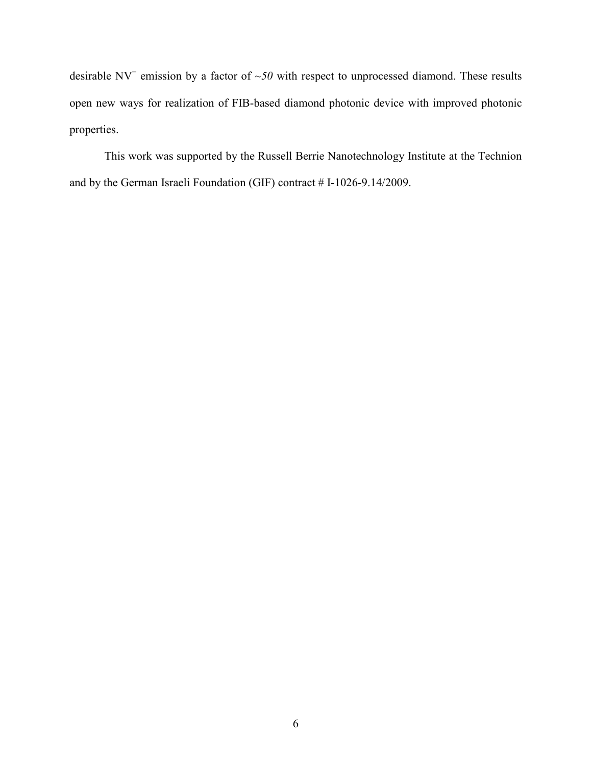desirable NV<sup>-</sup> emission by a factor of ~50 with respect to unprocessed diamond. These results open new ways for realization of FIB-based diamond photonic device with improved photonic properties.

This work was supported by the Russell Berrie Nanotechnology Institute at the Technion and by the German Israeli Foundation (GIF) contract # I-1026-9.14/2009.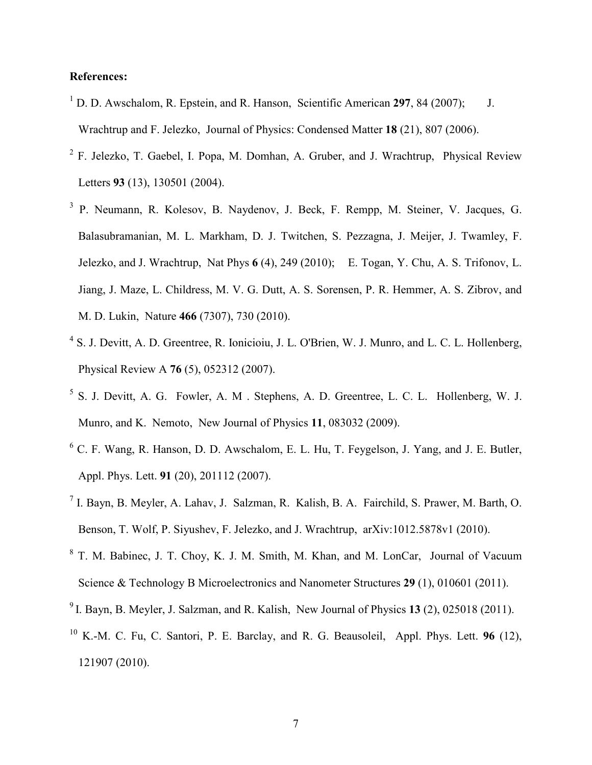## **References:**

- <sup>1</sup> D. D. Awschalom, R. Epstein, and R. Hanson, Scientific American 297, 84 (2007); J. Wrachtrup and F. Jelezko, Journal of Physics: Condensed Matter **18** (21), 807 (2006).
- <sup>2</sup> F. Jelezko, T. Gaebel, I. Popa, M. Domhan, A. Gruber, and J. Wrachtrup, Physical Review Letters **93** (13), 130501 (2004).
- <sup>3</sup> P. Neumann, R. Kolesov, B. Naydenov, J. Beck, F. Rempp, M. Steiner, V. Jacques, G. Balasubramanian, M. L. Markham, D. J. Twitchen, S. Pezzagna, J. Meijer, J. Twamley, F. Jelezko, and J. Wrachtrup, Nat Phys **6** (4), 249 (2010); E. Togan, Y. Chu, A. S. Trifonov, L. Jiang, J. Maze, L. Childress, M. V. G. Dutt, A. S. Sorensen, P. R. Hemmer, A. S. Zibrov, and M. D. Lukin, Nature **466** (7307), 730 (2010).
- <sup>4</sup> S. J. Devitt, A. D. Greentree, R. Ionicioiu, J. L. O'Brien, W. J. Munro, and L. C. L. Hollenberg, Physical Review A **76** (5), 052312 (2007).
- 5 S. J. Devitt, A. G. Fowler, A. M . Stephens, A. D. Greentree, L. C. L. Hollenberg, W. J. Munro, and K. Nemoto, New Journal of Physics **11**, 083032 (2009).
- 6 C. F. Wang, R. Hanson, D. D. Awschalom, E. L. Hu, T. Feygelson, J. Yang, and J. E. Butler, Appl. Phys. Lett. **91** (20), 201112 (2007).
- 7 I. Bayn, B. Meyler, A. Lahav, J. Salzman, R. Kalish, B. A. Fairchild, S. Prawer, M. Barth, O. Benson, T. Wolf, P. Siyushev, F. Jelezko, and J. Wrachtrup, arXiv:1012.5878v1 (2010).
- <sup>8</sup> T. M. Babinec, J. T. Choy, K. J. M. Smith, M. Khan, and M. LonCar, Journal of Vacuum Science & Technology B Microelectronics and Nanometer Structures **29** (1), 010601 (2011).
- <sup>9</sup>I. Bayn, B. Meyler, J. Salzman, and R. Kalish, New Journal of Physics **13** (2), 025018 (2011).
- <sup>10</sup> K.-M. C. Fu, C. Santori, P. E. Barclay, and R. G. Beausoleil, Appl. Phys. Lett. **96** (12), 121907 (2010).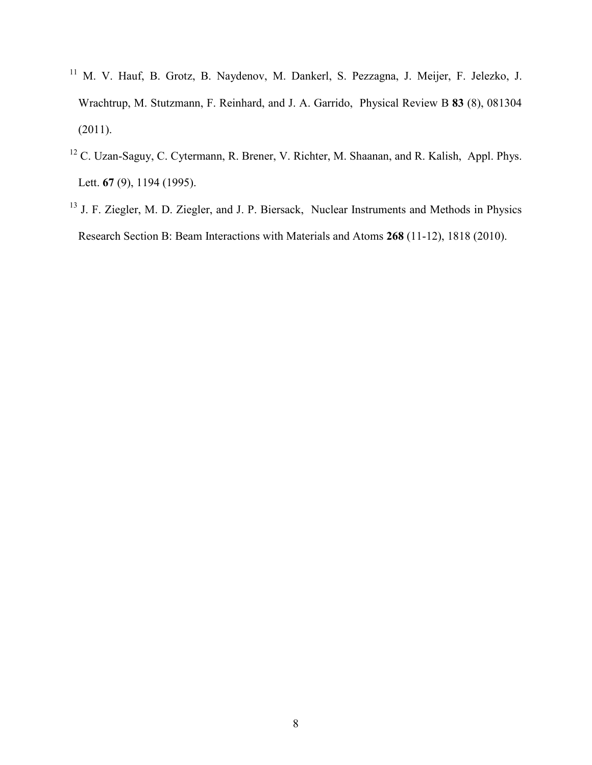- <sup>11</sup> M. V. Hauf, B. Grotz, B. Naydenov, M. Dankerl, S. Pezzagna, J. Meijer, F. Jelezko, J. Wrachtrup, M. Stutzmann, F. Reinhard, and J. A. Garrido, Physical Review B **83** (8), 081304  $(2011).$
- <sup>12</sup> C. Uzan-Saguy, C. Cytermann, R. Brener, V. Richter, M. Shaanan, and R. Kalish, Appl. Phys. Lett. **67** (9), 1194 (1995).
- <sup>13</sup> J. F. Ziegler, M. D. Ziegler, and J. P. Biersack, Nuclear Instruments and Methods in Physics Research Section B: Beam Interactions with Materials and Atoms **268** (11-12), 1818 (2010).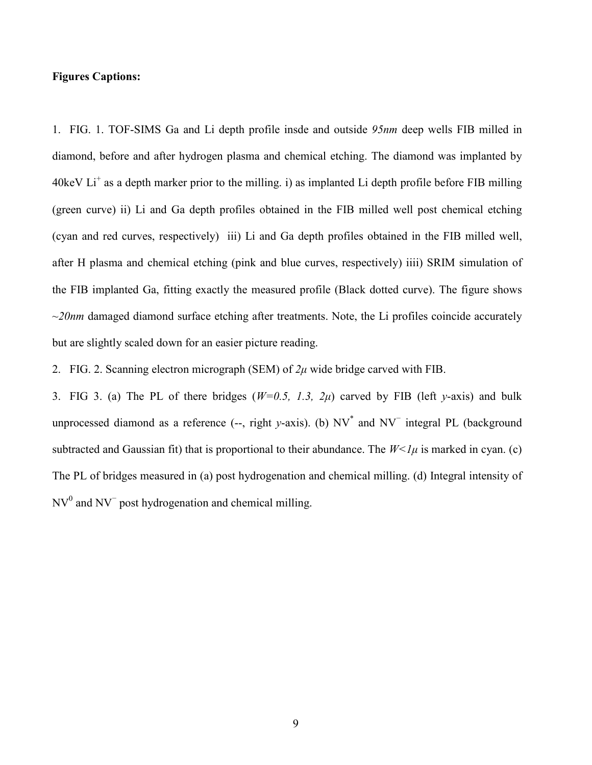## **Figures Captions:**

1. FIG. 1. TOF-SIMS Ga and Li depth profile insde and outside *95nm* deep wells FIB milled in diamond, before and after hydrogen plasma and chemical etching. The diamond was implanted by  $40 \text{keV Li}^+$  as a depth marker prior to the milling. i) as implanted Li depth profile before FIB milling (green curve) ii) Li and Ga depth profiles obtained in the FIB milled well post chemical etching (cyan and red curves, respectively) iii) Li and Ga depth profiles obtained in the FIB milled well, after H plasma and chemical etching (pink and blue curves, respectively) iiii) SRIM simulation of the FIB implanted Ga, fitting exactly the measured profile (Black dotted curve). The figure shows ~*20nm* damaged diamond surface etching after treatments. Note, the Li profiles coincide accurately but are slightly scaled down for an easier picture reading.

2. FIG. 2. Scanning electron micrograph (SEM) of *2µ* wide bridge carved with FIB.

3. FIG 3. (a) The PL of there bridges (*W=0.5, 1.3, 2µ*) carved by FIB (left *y*-axis) and bulk unprocessed diamond as a reference (--, right *y*-axis). (b) NV<sup>\*</sup> and NV<sup>−</sup> integral PL (background subtracted and Gaussian fit) that is proportional to their abundance. The  $W<1\mu$  is marked in cyan. (c) The PL of bridges measured in (a) post hydrogenation and chemical milling. (d) Integral intensity of  $NV<sup>0</sup>$  and NV<sup> $-$ </sup> post hydrogenation and chemical milling.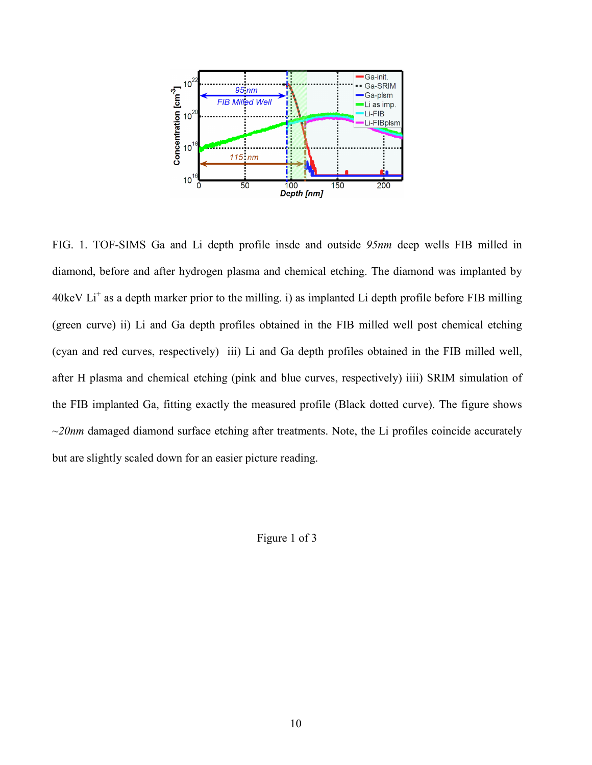

FIG. 1. TOF-SIMS Ga and Li depth profile insde and outside *95nm* deep wells FIB milled in diamond, before and after hydrogen plasma and chemical etching. The diamond was implanted by  $40 \text{keV}$  Li<sup>+</sup> as a depth marker prior to the milling. i) as implanted Li depth profile before FIB milling (green curve) ii) Li and Ga depth profiles obtained in the FIB milled well post chemical etching (cyan and red curves, respectively) iii) Li and Ga depth profiles obtained in the FIB milled well, after H plasma and chemical etching (pink and blue curves, respectively) iiii) SRIM simulation of the FIB implanted Ga, fitting exactly the measured profile (Black dotted curve). The figure shows ~*20nm* damaged diamond surface etching after treatments. Note, the Li profiles coincide accurately but are slightly scaled down for an easier picture reading.

Figure 1 of 3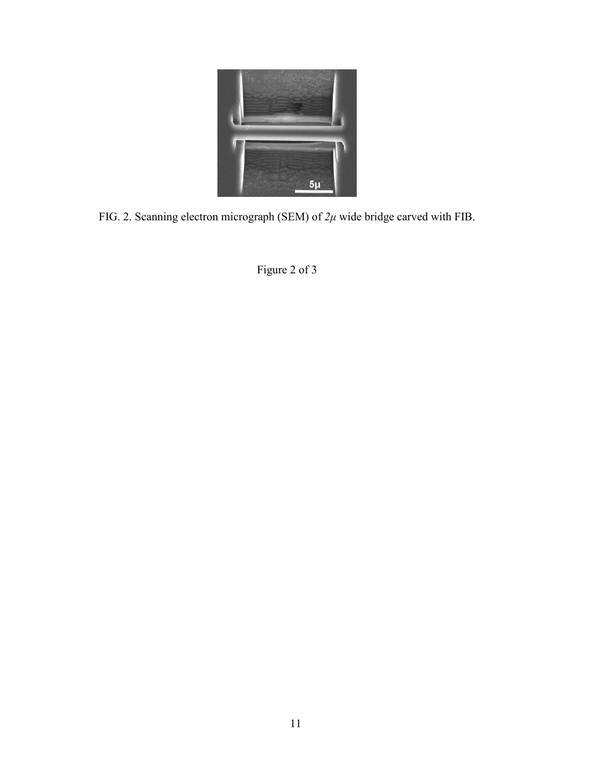

FIG. 2. Scanning electron micrograph (SEM) of *2µ* wide bridge carved with FIB.

Figure 2 of 3